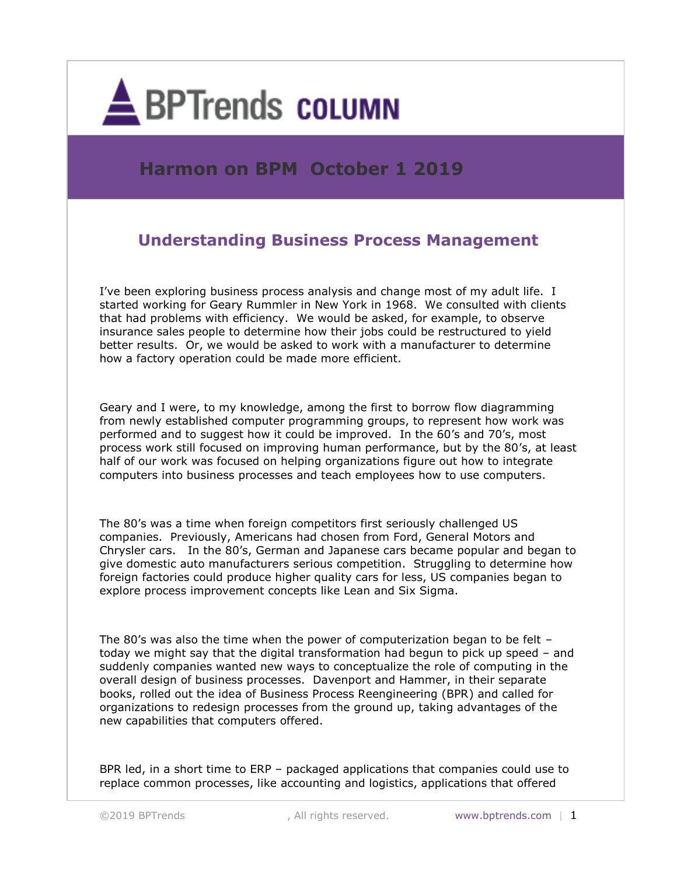

## **Harmon on BPM October 1 2019**

## **Understanding Business Process Management**

I've been exploring business process analysis and change most of my adult life. I started working for Geary Rummler in New York in 1968. We consulted with clients that had problems with efficiency. We would be asked, for example, to observe insurance sales people to determine how their jobs could be restructured to yield better results. Or, we would be asked to work with a manufacturer to determine how a factory operation could be made more efficient.

Geary and I were, to my knowledge, among the first to borrow flow diagramming from newly established computer programming groups, to represent how work was performed and to suggest how it could be improved. In the 60's and 70's, most process work still focused on improving human performance, but by the 80's, at least half of our work was focused on helping organizations figure out how to integrate computers into business processes and teach employees how to use computers.

The 80's was a time when foreign competitors first seriously challenged US companies. Previously, Americans had chosen from Ford, General Motors and Chrysler cars. In the 80's, German and Japanese cars became popular and began to give domestic auto manufacturers serious competition. Struggling to determine how foreign factories could produce higher quality cars for less, US companies began to explore process improvement concepts like Lean and Six Sigma.

The 80's was also the time when the power of computerization began to be felt  $$ today we might say that the digital transformation had begun to pick up speed – and suddenly companies wanted new ways to conceptualize the role of computing in the overall design of business processes. Davenport and Hammer, in their separate books, rolled out the idea of Business Process Reengineering (BPR) and called for organizations to redesign processes from the ground up, taking advantages of the new capabilities that computers offered.

BPR led, in a short time to ERP – packaged applications that companies could use to replace common processes, like accounting and logistics, applications that offered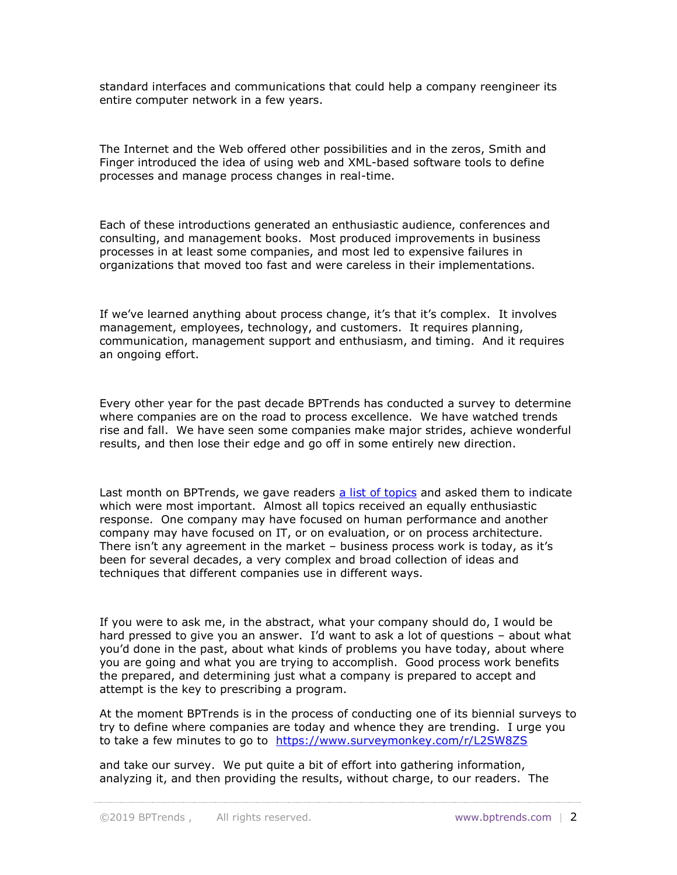standard interfaces and communications that could help a company reengineer its entire computer network in a few years.

The Internet and the Web offered other possibilities and in the zeros, Smith and Finger introduced the idea of using web and XML-based software tools to define processes and manage process changes in real-time.

Each of these introductions generated an enthusiastic audience, conferences and consulting, and management books. Most produced improvements in business processes in at least some companies, and most led to expensive failures in organizations that moved too fast and were careless in their implementations.

If we've learned anything about process change, it's that it's complex. It involves management, employees, technology, and customers. It requires planning, communication, management support and enthusiasm, and timing. And it requires an ongoing effort.

Every other year for the past decade BPTrends has conducted a survey to determine where companies are on the road to process excellence. We have watched trends rise and fall. We have seen some companies make major strides, achieve wonderful results, and then lose their edge and go off in some entirely new direction.

Last month on BPTrends, we gave readers [a list of topics](https://www.bptrends.com/) and asked them to indicate which were most important. Almost all topics received an equally enthusiastic response. One company may have focused on human performance and another company may have focused on IT, or on evaluation, or on process architecture. There isn't any agreement in the market – business process work is today, as it's been for several decades, a very complex and broad collection of ideas and techniques that different companies use in different ways.

If you were to ask me, in the abstract, what your company should do, I would be hard pressed to give you an answer. I'd want to ask a lot of questions – about what you'd done in the past, about what kinds of problems you have today, about where you are going and what you are trying to accomplish. Good process work benefits the prepared, and determining just what a company is prepared to accept and attempt is the key to prescribing a program.

At the moment BPTrends is in the process of conducting one of its biennial surveys to try to define where companies are today and whence they are trending. I urge you to take a few minutes to go to <https://www.surveymonkey.com/r/L2SW8ZS>

and take our survey. We put quite a bit of effort into gathering information, analyzing it, and then providing the results, without charge, to our readers. The